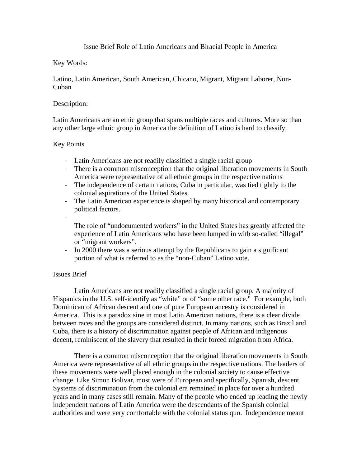## Issue Brief Role of Latin Americans and Biracial People in America

# Key Words:

Latino, Latin American, South American, Chicano, Migrant, Migrant Laborer, Non-Cuban

## Description:

Latin Americans are an ethic group that spans multiple races and cultures. More so than any other large ethnic group in America the definition of Latino is hard to classify.

# Key Points

- Latin Americans are not readily classified a single racial group
- There is a common misconception that the original liberation movements in South America were representative of all ethnic groups in the respective nations
- The independence of certain nations, Cuba in particular, was tied tightly to the colonial aspirations of the United States.
- The Latin American experience is shaped by many historical and contemporary political factors.
- -
- The role of "undocumented workers" in the United States has greatly affected the experience of Latin Americans who have been lumped in with so-called "illegal" or "migrant workers".
- In 2000 there was a serious attempt by the Republicans to gain a significant portion of what is referred to as the "non-Cuban" Latino vote.

### Issues Brief

Latin Americans are not readily classified a single racial group. A majority of Hispanics in the U.S. self-identify as "white" or of "some other race." For example, both Dominican of African descent and one of pure European ancestry is considered in America. This is a paradox sine in most Latin American nations, there is a clear divide between races and the groups are considered distinct. In many nations, such as Brazil and Cuba, there is a history of discrimination against people of African and indigenous decent, reminiscent of the slavery that resulted in their forced migration from Africa.

 There is a common misconception that the original liberation movements in South America were representative of all ethnic groups in the respective nations. The leaders of these movements were well placed enough in the colonial society to cause effective change. Like Simon Bolivar, most were of European and specifically, Spanish, descent. Systems of discrimination from the colonial era remained in place for over a hundred years and in many cases still remain. Many of the people who ended up leading the newly independent nations of Latin America were the descendants of the Spanish colonial authorities and were very comfortable with the colonial status quo. Independence meant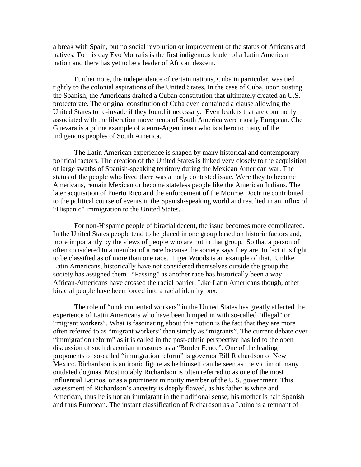a break with Spain, but no social revolution or improvement of the status of Africans and natives. To this day Evo Morralis is the first indigenous leader of a Latin American nation and there has yet to be a leader of African descent.

Furthermore, the independence of certain nations, Cuba in particular, was tied tightly to the colonial aspirations of the United States. In the case of Cuba, upon ousting the Spanish, the Americans drafted a Cuban constitution that ultimately created an U.S. protectorate. The original constitution of Cuba even contained a clause allowing the United States to re-invade if they found it necessary. Even leaders that are commonly associated with the liberation movements of South America were mostly European. Che Guevara is a prime example of a euro-Argentinean who is a hero to many of the indigenous peoples of South America.

 The Latin American experience is shaped by many historical and contemporary political factors. The creation of the United States is linked very closely to the acquisition of large swaths of Spanish-speaking territory during the Mexican American war. The status of the people who lived there was a hotly contested issue. Were they to become Americans, remain Mexican or become stateless people like the American Indians. The later acquisition of Puerto Rico and the enforcement of the Monroe Doctrine contributed to the political course of events in the Spanish-speaking world and resulted in an influx of "Hispanic" immigration to the United States.

 For non-Hispanic people of biracial decent, the issue becomes more complicated. In the United States people tend to be placed in one group based on historic factors and, more importantly by the views of people who are not in that group. So that a person of often considered to a member of a race because the society says they are. In fact it is fight to be classified as of more than one race. Tiger Woods is an example of that. Unlike Latin Americans, historically have not considered themselves outside the group the society has assigned them. "Passing" as another race has historically been a way African-Americans have crossed the racial barrier. Like Latin Americans though, other biracial people have been forced into a racial identity box.

The role of "undocumented workers" in the United States has greatly affected the experience of Latin Americans who have been lumped in with so-called "illegal" or "migrant workers". What is fascinating about this notion is the fact that they are more often referred to as "migrant workers" than simply as "migrants". The current debate over "immigration reform" as it is called in the post-ethnic perspective has led to the open discussion of such draconian measures as a "Border Fence". One of the leading proponents of so-called "immigration reform" is governor Bill Richardson of New Mexico. Richardson is an ironic figure as he himself can be seen as the victim of many outdated dogmas. Most notably Richardson is often referred to as one of the most influential Latinos, or as a prominent minority member of the U.S. government. This assessment of Richardson's ancestry is deeply flawed, as his father is white and American, thus he is not an immigrant in the traditional sense; his mother is half Spanish and thus European. The instant classification of Richardson as a Latino is a remnant of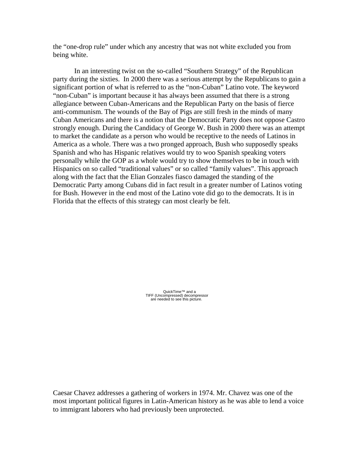the "one-drop rule" under which any ancestry that was not white excluded you from being white.

In an interesting twist on the so-called "Southern Strategy" of the Republican party during the sixties. In 2000 there was a serious attempt by the Republicans to gain a significant portion of what is referred to as the "non-Cuban" Latino vote. The keyword "non-Cuban" is important because it has always been assumed that there is a strong allegiance between Cuban-Americans and the Republican Party on the basis of fierce anti-communism. The wounds of the Bay of Pigs are still fresh in the minds of many Cuban Americans and there is a notion that the Democratic Party does not oppose Castro strongly enough. During the Candidacy of George W. Bush in 2000 there was an attempt to market the candidate as a person who would be receptive to the needs of Latinos in America as a whole. There was a two pronged approach, Bush who supposedly speaks Spanish and who has Hispanic relatives would try to woo Spanish speaking voters personally while the GOP as a whole would try to show themselves to be in touch with Hispanics on so called "traditional values" or so called "family values". This approach along with the fact that the Elian Gonzales fiasco damaged the standing of the Democratic Party among Cubans did in fact result in a greater number of Latinos voting for Bush. However in the end most of the Latino vote did go to the democrats. It is in Florida that the effects of this strategy can most clearly be felt.

QuickTime™ and a<br>TIFF (Uncompressed) decompressor<br>are needed to see this picture.

Caesar Chavez addresses a gathering of workers in 1974. Mr. Chavez was one of the most important political figures in Latin-American history as he was able to lend a voice to immigrant laborers who had previously been unprotected.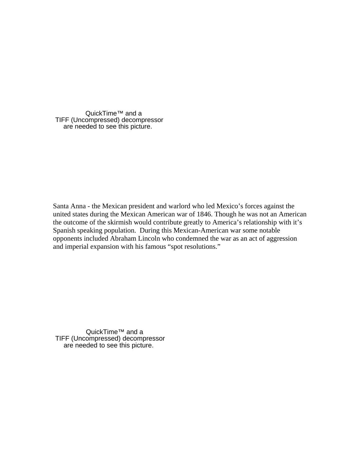QuickTime™ and a TIFF (Uncompressed) decompressor are needed to see this picture.

Santa Anna - the Mexican president and warlord who led Mexico's forces against the united states during the Mexican American war of 1846. Though he was not an American the outcome of the skirmish would contribute greatly to America's relationship with it's Spanish speaking population. During this Mexican-American war some notable opponents included Abraham Lincoln who condemned the war as an act of aggression and imperial expansion with his famous "spot resolutions."

QuickTime™ and a TIFF (Uncompressed) decompressor are needed to see this picture.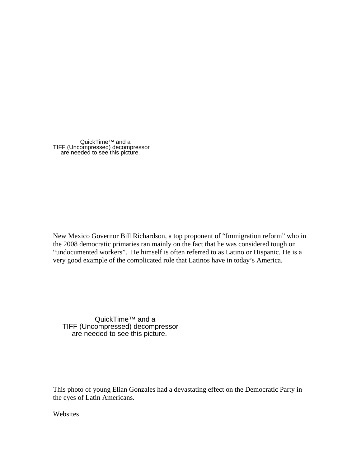QuickTime™ and a TIFF (Uncompressed) decompressor are needed to see this picture.

New Mexico Governor Bill Richardson, a top proponent of "Immigration reform" who in the 2008 democratic primaries ran mainly on the fact that he was considered tough on "undocumented workers". He himself is often referred to as Latino or Hispanic. He is a very good example of the complicated role that Latinos have in today's America.

QuickTime™ and a TIFF (Uncompressed) decompressor are needed to see this picture.

This photo of young Elian Gonzales had a devastating effect on the Democratic Party in the eyes of Latin Americans.

Websites